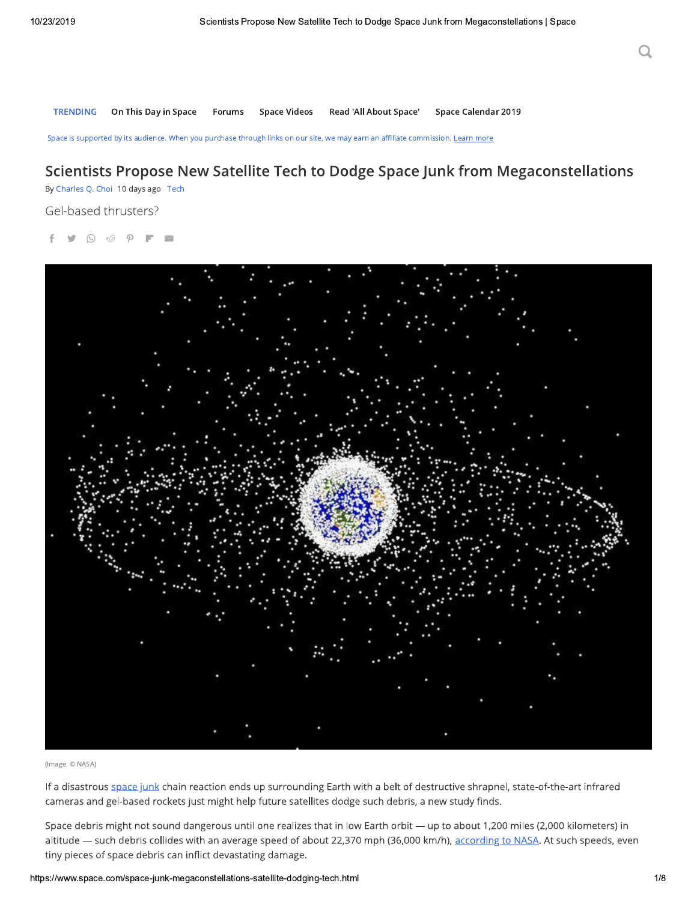**TRENDING** On This Day in Space Space Videos Read 'All About Space' Space Calendar 2019 Forums

Space is supported by its audience. When you purchase through links on our site, we may earn an affiliate commission. Learn more

### Scientists Propose New Satellite Tech to Dodge Space Junk from Megaconstellations

By Charles Q. Choi 10 days ago Tech

Gel-based thrusters?

 $\odot$  $\sqrt{2}$ 



(Image: © NASA)

If a disastrous space junk chain reaction ends up surrounding Earth with a belt of destructive shrapnel, state-of-the-art infrared cameras and gel-based rockets just might help future satellites dodge such debris, a new study finds.

Space debris might not sound dangerous until one realizes that in low Earth orbit - up to about 1,200 miles (2,000 kilometers) in altitude - such debris collides with an average speed of about 22,370 mph (36,000 km/h), according to NASA. At such speeds, even tiny pieces of space debris can inflict devastating damage.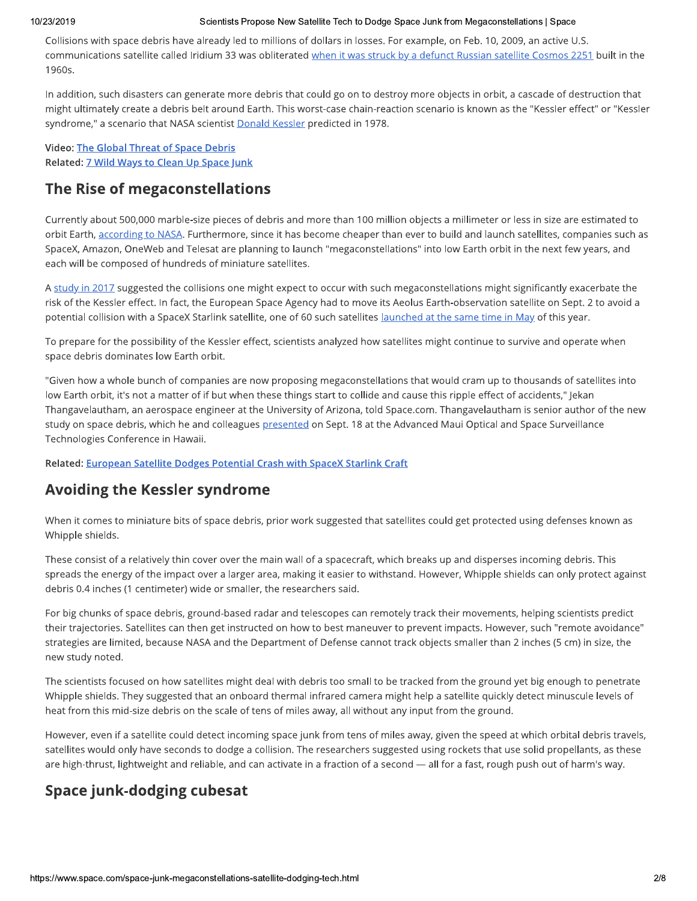#### 10/23/2019

#### Scientists Propose New Satellite Tech to Dodge Space Junk from Megaconstellations | Space

Collisions with space debris have already led to millions of dollars in losses. For example, on Feb. 10, 2009, an active U.S. communications satellite called Iridium 33 was obliterated when it was struck by a defunct Russian satellite Cosmos 2251 built in the 1960s.

In addition, such disasters can generate more debris that could go on to destroy more objects in orbit, a cascade of destruction that might ultimately create a debris belt around Earth. This worst-case chain-reaction scenario is known as the "Kessler effect" or "Kessler syndrome," a scenario that NASA scientist Donald Kessler predicted in 1978.

**Video: The Global Threat of Space Debris** Related: 7 Wild Ways to Clean Up Space Junk

### The Rise of megaconstellations

Currently about 500,000 marble-size pieces of debris and more than 100 million objects a millimeter or less in size are estimated to orbit Earth, according to NASA. Furthermore, since it has become cheaper than ever to build and launch satellites, companies such as SpaceX, Amazon, OneWeb and Telesat are planning to launch "megaconstellations" into low Earth orbit in the next few years, and each will be composed of hundreds of miniature satellites.

A study in 2017 suggested the collisions one might expect to occur with such megaconstellations might significantly exacerbate the risk of the Kessler effect. In fact, the European Space Agency had to move its Aeolus Earth-observation satellite on Sept. 2 to avoid a potential collision with a SpaceX Starlink satellite, one of 60 such satellites *launched at the same time in May of this year*.

To prepare for the possibility of the Kessler effect, scientists analyzed how satellites might continue to survive and operate when space debris dominates low Earth orbit.

"Given how a whole bunch of companies are now proposing megaconstellations that would cram up to thousands of satellites into low Earth orbit, it's not a matter of if but when these things start to collide and cause this ripple effect of accidents," Jekan Thangavelautham, an aerospace engineer at the University of Arizona, told Space.com. Thangavelautham is senior author of the new study on space debris, which he and colleagues presented on Sept. 18 at the Advanced Maui Optical and Space Surveillance Technologies Conference in Hawaii.

Related: European Satellite Dodges Potential Crash with SpaceX Starlink Craft

### **Avoiding the Kessler syndrome**

When it comes to miniature bits of space debris, prior work suggested that satellites could get protected using defenses known as Whipple shields.

These consist of a relatively thin cover over the main wall of a spacecraft, which breaks up and disperses incoming debris. This spreads the energy of the impact over a larger area, making it easier to withstand. However, Whipple shields can only protect against debris 0.4 inches (1 centimeter) wide or smaller, the researchers said.

For big chunks of space debris, ground-based radar and telescopes can remotely track their movements, helping scientists predict their trajectories. Satellites can then get instructed on how to best maneuver to prevent impacts. However, such "remote avoidance" strategies are limited, because NASA and the Department of Defense cannot track objects smaller than 2 inches (5 cm) in size, the new study noted.

The scientists focused on how satellites might deal with debris too small to be tracked from the ground yet big enough to penetrate Whipple shields. They suggested that an onboard thermal infrared camera might help a satellite quickly detect minuscule levels of heat from this mid-size debris on the scale of tens of miles away, all without any input from the ground.

However, even if a satellite could detect incoming space junk from tens of miles away, given the speed at which orbital debris travels, satellites would only have seconds to dodge a collision. The researchers suggested using rockets that use solid propellants, as these are high-thrust, lightweight and reliable, and can activate in a fraction of a second - all for a fast, rough push out of harm's way.

### Space junk-dodging cubesat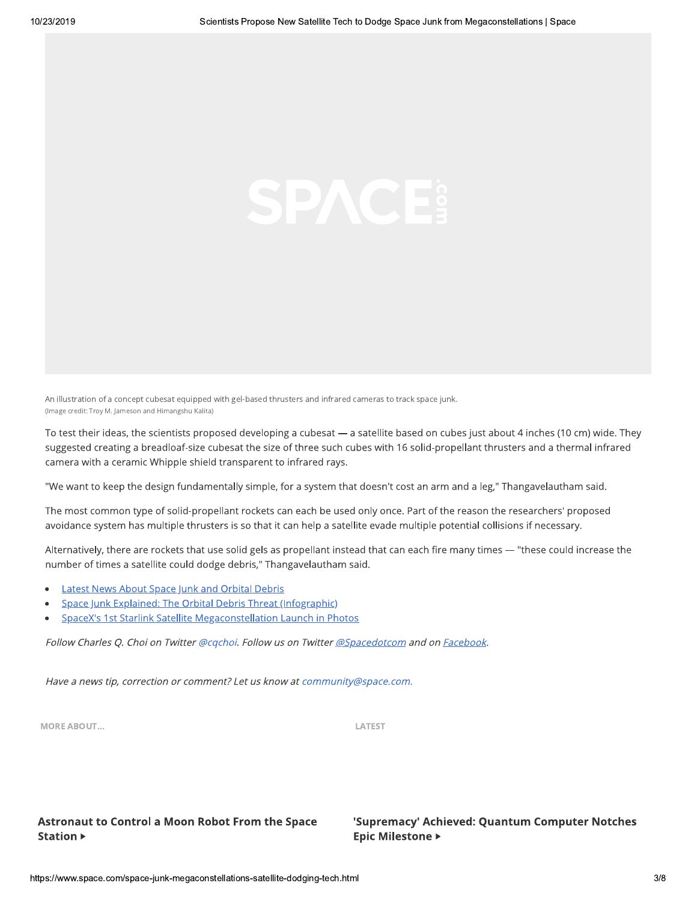An illustration of a concept cubesat equipped with gel-based thrusters and infrared cameras to track space junk. (Image credit: Troy M. Jameson and Himangshu Kalita)

To test their ideas, the scientists proposed developing a cubesat - a satellite based on cubes just about 4 inches (10 cm) wide. They suggested creating a breadloaf-size cubesat the size of three such cubes with 16 solid-propellant thrusters and a thermal infrared camera with a ceramic Whipple shield transparent to infrared rays.

"We want to keep the design fundamentally simple, for a system that doesn't cost an arm and a leg," Thangavelautham said.

The most common type of solid-propellant rockets can each be used only once. Part of the reason the researchers' proposed avoidance system has multiple thrusters is so that it can help a satellite evade multiple potential collisions if necessary.

Alternatively, there are rockets that use solid gels as propellant instead that can each fire many times - "these could increase the number of times a satellite could dodge debris," Thangavelautham said.

- **Latest News About Space Junk and Orbital Debris**
- Space Junk Explained: The Orbital Debris Threat (Infographic)
- SpaceX's 1st Starlink Satellite Megaconstellation Launch in Photos

Follow Charles Q. Choi on Twitter @cqchoi. Follow us on Twitter @Spacedotcom and on Facebook.

Have a news tip, correction or comment? Let us know at community@space.com.

**MORE ABOUT...** 

LATEST

#### **Astronaut to Control a Moon Robot From the Space Station ▶**

#### 'Supremacy' Achieved: Quantum Computer Notches **Epic Milestone ▶**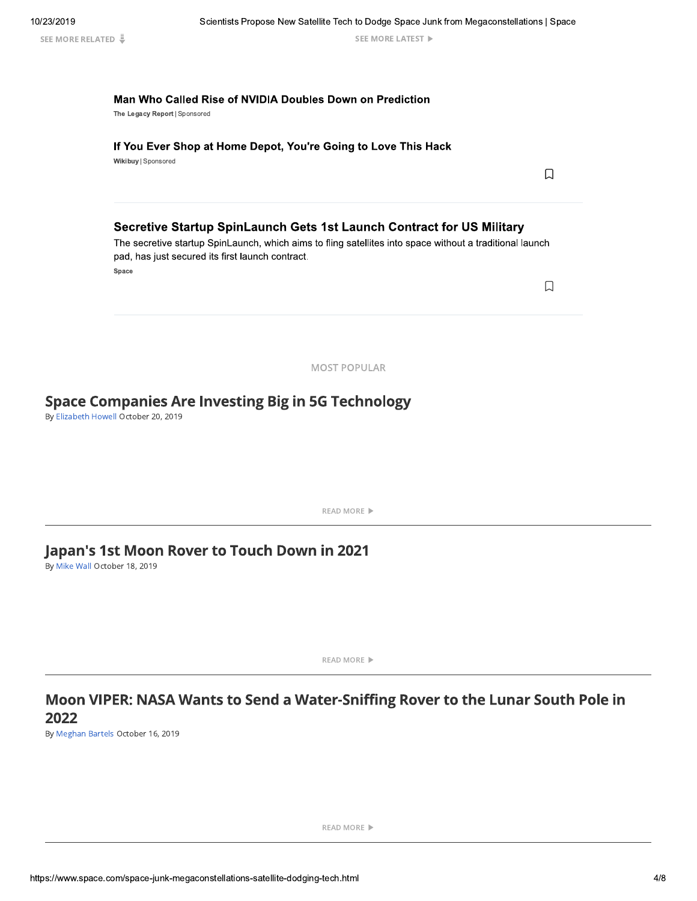Scientists Propose New Satellite Tech to Dodge Space Junk from Megaconstellations | Space

SEE MORE LATEST

 $\Box$ 

 $\Box$ 

#### Man Who Called Rise of NVIDIA Doubles Down on Prediction

The Legacy Report | Sponsored

#### If You Ever Shop at Home Depot, You're Going to Love This Hack

Wikibuy | Sponsored

#### Secretive Startup SpinLaunch Gets 1st Launch Contract for US Military

The secretive startup SpinLaunch, which aims to fling satellites into space without a traditional launch pad, has just secured its first launch contract.

Space

**MOST POPULAR** 

### **Space Companies Are Investing Big in 5G Technology**

By Elizabeth Howell October 20, 2019

**READ MORE** ▶

### Japan's 1st Moon Rover to Touch Down in 2021

By Mike Wall October 18, 2019

READ MORE ▶

### Moon VIPER: NASA Wants to Send a Water-Sniffing Rover to the Lunar South Pole in 2022

By Meghan Bartels October 16, 2019

**READ MORE** ▶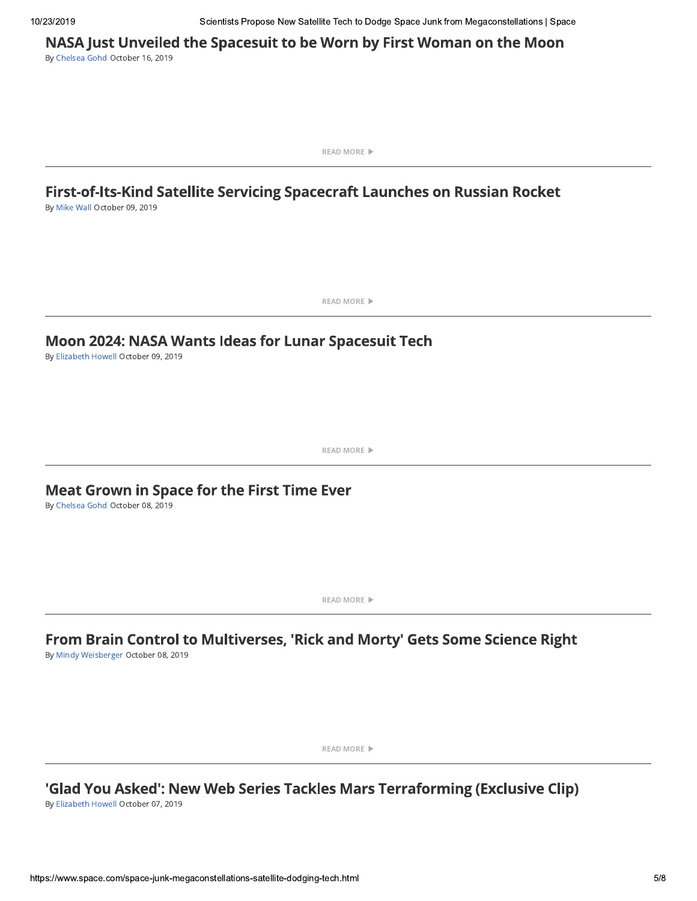Scientists Propose New Satellite Tech to Dodge Space Junk from Megaconstellations | Space

NASA Just Unveiled the Spacesuit to be Worn by First Woman on the Moon

By Chelsea Gohd October 16, 2019

**READ MORE** ▶

## First-of-Its-Kind Satellite Servicing Spacecraft Launches on Russian Rocket

By Mike Wall October 09, 2019

**READ MORE** ▶

### Moon 2024: NASA Wants Ideas for Lunar Spacesuit Tech

By Elizabeth Howell October 09, 2019

READ MORE ▶

### Meat Grown in Space for the First Time Ever

By Chelsea Gohd October 08, 2019

**READ MORE** ▶

# From Brain Control to Multiverses, 'Rick and Morty' Gets Some Science Right

By Mindy Weisberger October 08, 2019

**READ MORE** ▶

### 'Glad You Asked': New Web Series Tackles Mars Terraforming (Exclusive Clip)

By Elizabeth Howell October 07, 2019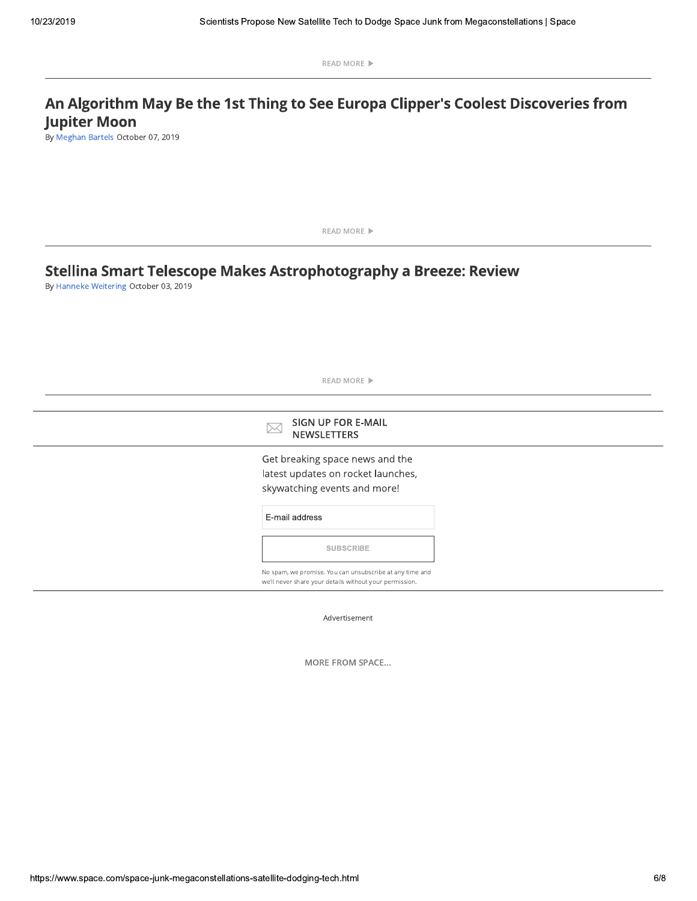READ MORE ▶

### An Algorithm May Be the 1st Thing to See Europa Clipper's Coolest Discoveries from **Jupiter Moon**

By Meghan Bartels October 07, 2019

READ MORE ▶ Stellina Smart Telescope Makes Astrophotography a Breeze: Review By Hanneke Weitering October 03, 2019 READ MORE ▶ SIGN UP FOR E-MAIL  $\boxtimes$ **NEWSLETTERS** Get breaking space news and the latest updates on rocket launches, skywatching events and more! E-mail address SUBSCRIBE No spam, we promise. You can unsubscribe at any time and we'll never share your details without your permission.

Advertisement

MORE FROM SPACE...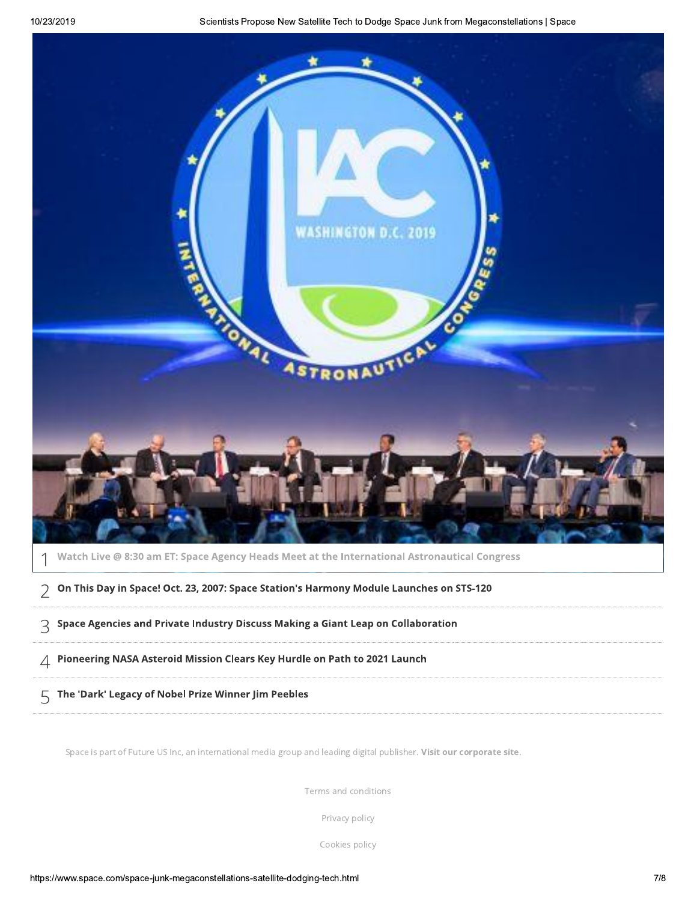

Watch Live @ 8:30 am ET: Space Agency Heads Meet at the International Astronautical Congress

 $\geq~$  On This Day in Space! Oct. 23, 2007: Space Station's Harmony Module Launches on STS-120

L34156MN6+5.6/1+FOC.P186Q+FG/8C20./5G//E1R.+N1S.1+8I614@+T@HH1U@C18.@+

VO.@+66C.+NWM3MM/86C@.FE.//.@+TH61C/X62BGCFH6@+O18-8@:=:KI1G+5-

 $\sqrt{5}$  The 'Dark' Legacy of Nobel Prize Winner Jim Peebles

Space is part of Future US Inc, an international media group and leading digital publisher. Visit our corporate site.

Terms and conditions

and conditions<br>ivacy policy<br>okies policy<br>ch.html<br>7/8 Privacy policy

Cookies policy